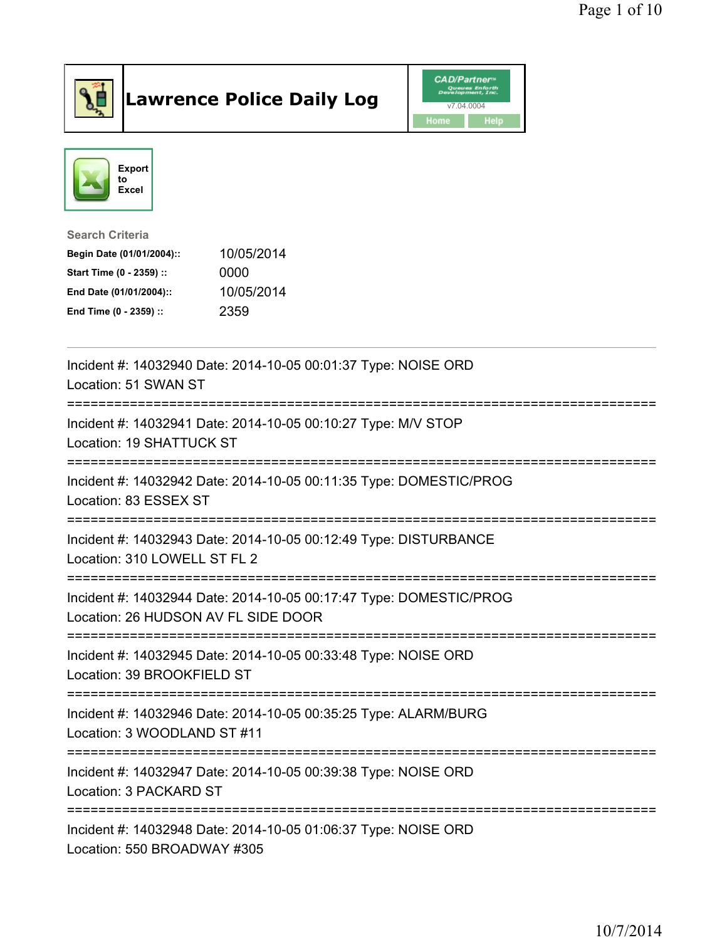

## Lawrence Police Daily Log **Daniel CAD/Partner**





## Search Criteria Begin Date (01/01/2004):: 10/05/2014 Start Time (0 - 2359) :: 0000 End Date (01/01/2004):: 10/05/2014 End Time (0 - 2359) :: 2359

| Incident #: 14032940 Date: 2014-10-05 00:01:37 Type: NOISE ORD<br>Location: 51 SWAN ST                    |
|-----------------------------------------------------------------------------------------------------------|
| Incident #: 14032941 Date: 2014-10-05 00:10:27 Type: M/V STOP<br>Location: 19 SHATTUCK ST                 |
| Incident #: 14032942 Date: 2014-10-05 00:11:35 Type: DOMESTIC/PROG<br>Location: 83 ESSEX ST               |
| Incident #: 14032943 Date: 2014-10-05 00:12:49 Type: DISTURBANCE<br>Location: 310 LOWELL ST FL 2          |
| Incident #: 14032944 Date: 2014-10-05 00:17:47 Type: DOMESTIC/PROG<br>Location: 26 HUDSON AV FL SIDE DOOR |
| Incident #: 14032945 Date: 2014-10-05 00:33:48 Type: NOISE ORD<br>Location: 39 BROOKFIELD ST              |
| Incident #: 14032946 Date: 2014-10-05 00:35:25 Type: ALARM/BURG<br>Location: 3 WOODLAND ST #11            |
| Incident #: 14032947 Date: 2014-10-05 00:39:38 Type: NOISE ORD<br>Location: 3 PACKARD ST                  |
| Incident #: 14032948 Date: 2014-10-05 01:06:37 Type: NOISE ORD<br>Location: 550 BROADWAY #305             |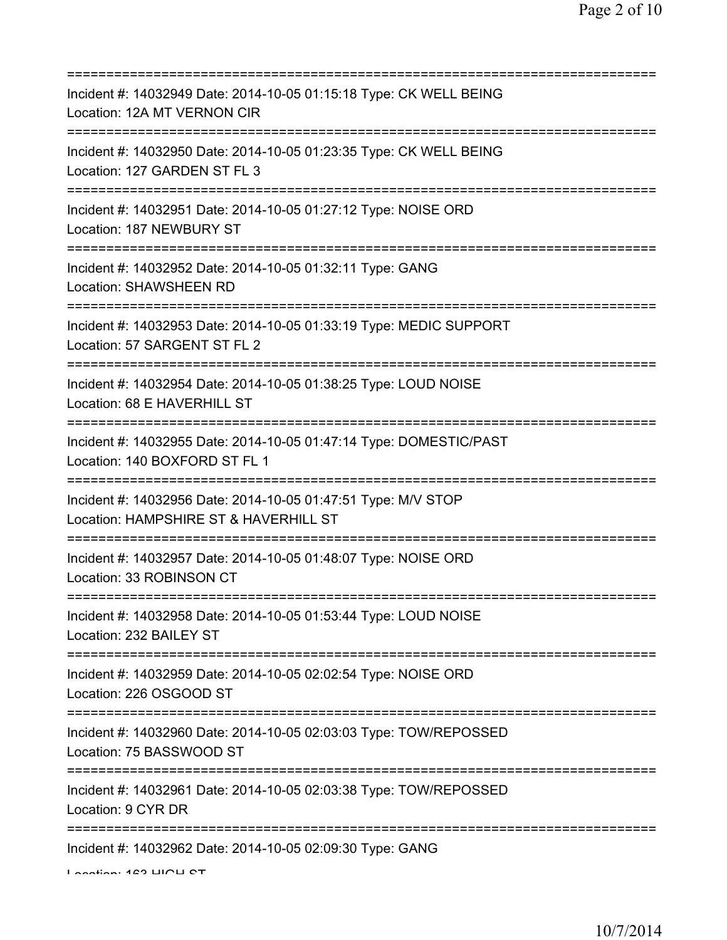| Incident #: 14032949 Date: 2014-10-05 01:15:18 Type: CK WELL BEING<br>Location: 12A MT VERNON CIR                                   |
|-------------------------------------------------------------------------------------------------------------------------------------|
| Incident #: 14032950 Date: 2014-10-05 01:23:35 Type: CK WELL BEING<br>Location: 127 GARDEN ST FL 3                                  |
| Incident #: 14032951 Date: 2014-10-05 01:27:12 Type: NOISE ORD<br>Location: 187 NEWBURY ST                                          |
| Incident #: 14032952 Date: 2014-10-05 01:32:11 Type: GANG<br><b>Location: SHAWSHEEN RD</b>                                          |
| Incident #: 14032953 Date: 2014-10-05 01:33:19 Type: MEDIC SUPPORT<br>Location: 57 SARGENT ST FL 2                                  |
| Incident #: 14032954 Date: 2014-10-05 01:38:25 Type: LOUD NOISE<br>Location: 68 E HAVERHILL ST                                      |
| Incident #: 14032955 Date: 2014-10-05 01:47:14 Type: DOMESTIC/PAST<br>Location: 140 BOXFORD ST FL 1                                 |
| Incident #: 14032956 Date: 2014-10-05 01:47:51 Type: M/V STOP<br>Location: HAMPSHIRE ST & HAVERHILL ST                              |
| Incident #: 14032957 Date: 2014-10-05 01:48:07 Type: NOISE ORD<br>Location: 33 ROBINSON CT                                          |
| =====================================<br>Incident #: 14032958 Date: 2014-10-05 01:53:44 Type: LOUD NOISE<br>Location: 232 BAILEY ST |
| Incident #: 14032959 Date: 2014-10-05 02:02:54 Type: NOISE ORD<br>Location: 226 OSGOOD ST                                           |
| ._______________________<br>Incident #: 14032960 Date: 2014-10-05 02:03:03 Type: TOW/REPOSSED<br>Location: 75 BASSWOOD ST           |
| Incident #: 14032961 Date: 2014-10-05 02:03:38 Type: TOW/REPOSSED<br>Location: 9 CYR DR                                             |
| Incident #: 14032962 Date: 2014-10-05 02:09:30 Type: GANG<br>Lootion: 429 LIIOLI OT                                                 |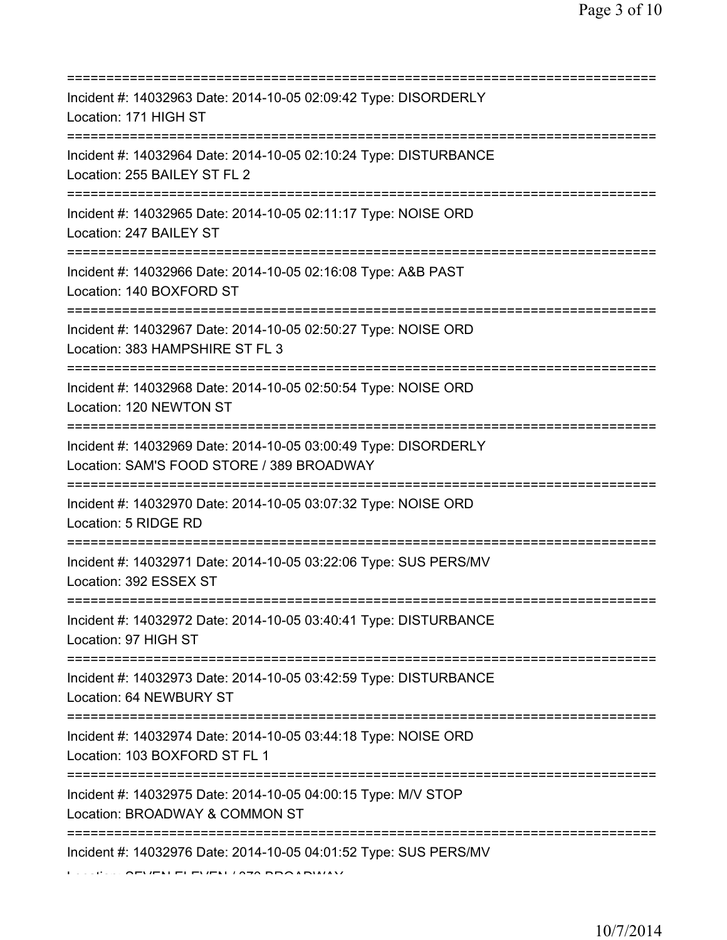| Incident #: 14032963 Date: 2014-10-05 02:09:42 Type: DISORDERLY<br>Location: 171 HIGH ST                     |
|--------------------------------------------------------------------------------------------------------------|
| Incident #: 14032964 Date: 2014-10-05 02:10:24 Type: DISTURBANCE<br>Location: 255 BAILEY ST FL 2             |
| Incident #: 14032965 Date: 2014-10-05 02:11:17 Type: NOISE ORD<br>Location: 247 BAILEY ST                    |
| Incident #: 14032966 Date: 2014-10-05 02:16:08 Type: A&B PAST<br>Location: 140 BOXFORD ST                    |
| Incident #: 14032967 Date: 2014-10-05 02:50:27 Type: NOISE ORD<br>Location: 383 HAMPSHIRE ST FL 3            |
| Incident #: 14032968 Date: 2014-10-05 02:50:54 Type: NOISE ORD<br>Location: 120 NEWTON ST                    |
| Incident #: 14032969 Date: 2014-10-05 03:00:49 Type: DISORDERLY<br>Location: SAM'S FOOD STORE / 389 BROADWAY |
| Incident #: 14032970 Date: 2014-10-05 03:07:32 Type: NOISE ORD<br>Location: 5 RIDGE RD                       |
| Incident #: 14032971 Date: 2014-10-05 03:22:06 Type: SUS PERS/MV<br>Location: 392 ESSEX ST                   |
| Incident #: 14032972 Date: 2014-10-05 03:40:41 Type: DISTURBANCE<br>Location: 97 HIGH ST                     |
| Incident #: 14032973 Date: 2014-10-05 03:42:59 Type: DISTURBANCE<br>Location: 64 NEWBURY ST                  |
| Incident #: 14032974 Date: 2014-10-05 03:44:18 Type: NOISE ORD<br>Location: 103 BOXFORD ST FL 1              |
| Incident #: 14032975 Date: 2014-10-05 04:00:15 Type: M/V STOP<br>Location: BROADWAY & COMMON ST              |
| Incident #: 14032976 Date: 2014-10-05 04:01:52 Type: SUS PERS/MV                                             |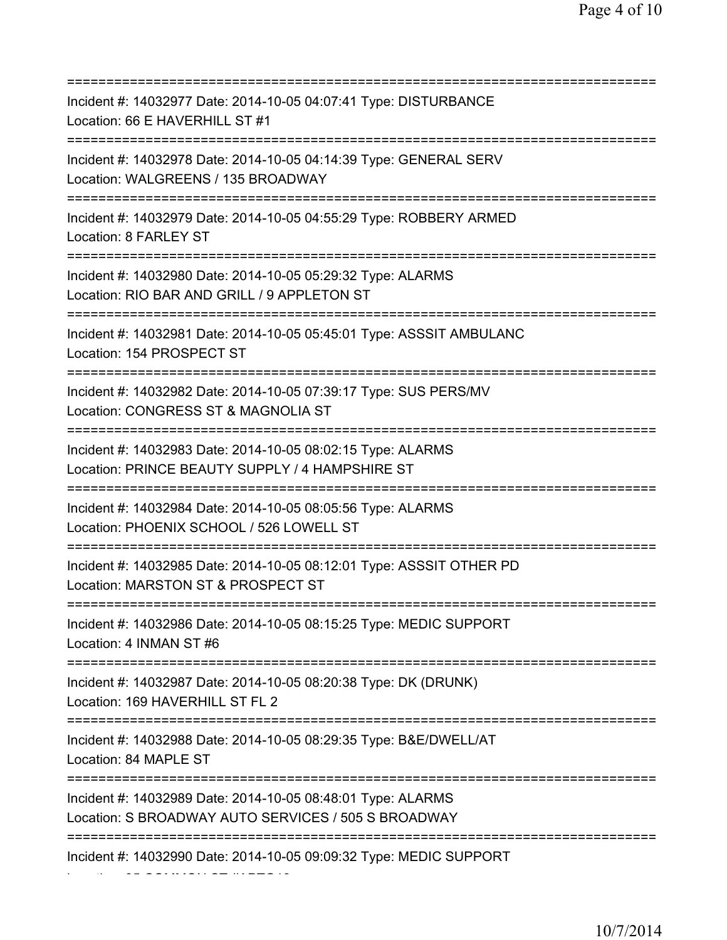| Incident #: 14032977 Date: 2014-10-05 04:07:41 Type: DISTURBANCE<br>Location: 66 E HAVERHILL ST #1                                    |
|---------------------------------------------------------------------------------------------------------------------------------------|
| Incident #: 14032978 Date: 2014-10-05 04:14:39 Type: GENERAL SERV<br>Location: WALGREENS / 135 BROADWAY                               |
| Incident #: 14032979 Date: 2014-10-05 04:55:29 Type: ROBBERY ARMED<br>Location: 8 FARLEY ST<br>====================================== |
| Incident #: 14032980 Date: 2014-10-05 05:29:32 Type: ALARMS<br>Location: RIO BAR AND GRILL / 9 APPLETON ST                            |
| Incident #: 14032981 Date: 2014-10-05 05:45:01 Type: ASSSIT AMBULANC<br>Location: 154 PROSPECT ST<br>-----------                      |
| Incident #: 14032982 Date: 2014-10-05 07:39:17 Type: SUS PERS/MV<br>Location: CONGRESS ST & MAGNOLIA ST                               |
| Incident #: 14032983 Date: 2014-10-05 08:02:15 Type: ALARMS<br>Location: PRINCE BEAUTY SUPPLY / 4 HAMPSHIRE ST<br>=================== |
| Incident #: 14032984 Date: 2014-10-05 08:05:56 Type: ALARMS<br>Location: PHOENIX SCHOOL / 526 LOWELL ST                               |
| Incident #: 14032985 Date: 2014-10-05 08:12:01 Type: ASSSIT OTHER PD<br>Location: MARSTON ST & PROSPECT ST                            |
| Incident #: 14032986 Date: 2014-10-05 08:15:25 Type: MEDIC SUPPORT<br>Location: 4 INMAN ST #6                                         |
| Incident #: 14032987 Date: 2014-10-05 08:20:38 Type: DK (DRUNK)<br>Location: 169 HAVERHILL ST FL 2                                    |
| Incident #: 14032988 Date: 2014-10-05 08:29:35 Type: B&E/DWELL/AT<br>Location: 84 MAPLE ST                                            |
| Incident #: 14032989 Date: 2014-10-05 08:48:01 Type: ALARMS<br>Location: S BROADWAY AUTO SERVICES / 505 S BROADWAY                    |
| Incident #: 14032990 Date: 2014-10-05 09:09:32 Type: MEDIC SUPPORT                                                                    |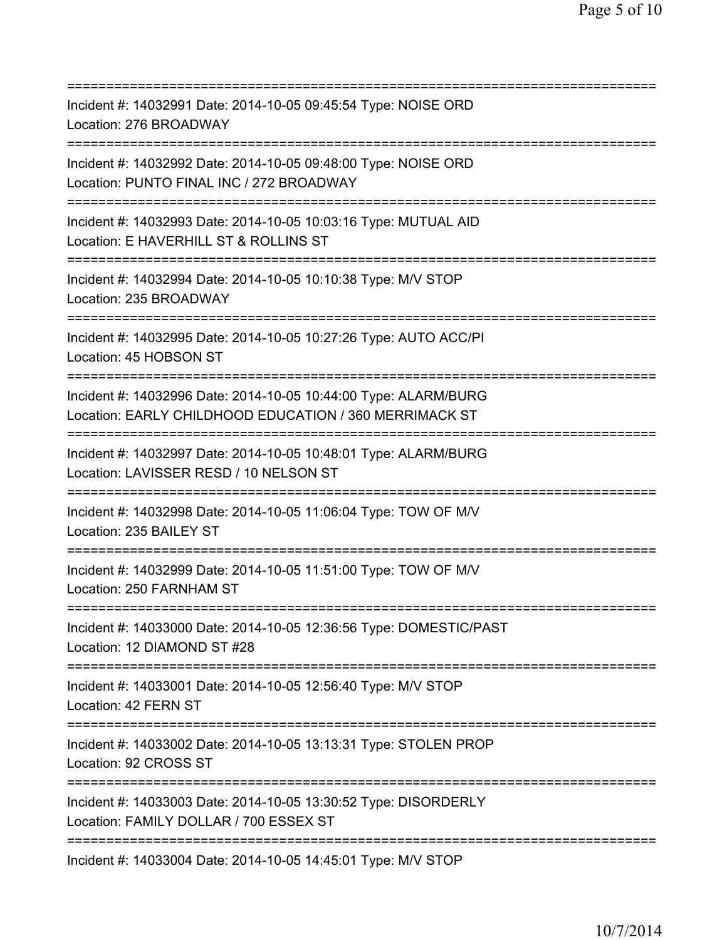| Incident #: 14032991 Date: 2014-10-05 09:45:54 Type: NOISE ORD<br>Location: 276 BROADWAY                                                        |
|-------------------------------------------------------------------------------------------------------------------------------------------------|
| Incident #: 14032992 Date: 2014-10-05 09:48:00 Type: NOISE ORD<br>Location: PUNTO FINAL INC / 272 BROADWAY<br>================================= |
| Incident #: 14032993 Date: 2014-10-05 10:03:16 Type: MUTUAL AID<br>Location: E HAVERHILL ST & ROLLINS ST<br>========================            |
| Incident #: 14032994 Date: 2014-10-05 10:10:38 Type: M/V STOP<br>Location: 235 BROADWAY                                                         |
| Incident #: 14032995 Date: 2014-10-05 10:27:26 Type: AUTO ACC/PI<br>Location: 45 HOBSON ST<br>====================================              |
| Incident #: 14032996 Date: 2014-10-05 10:44:00 Type: ALARM/BURG<br>Location: EARLY CHILDHOOD EDUCATION / 360 MERRIMACK ST                       |
| Incident #: 14032997 Date: 2014-10-05 10:48:01 Type: ALARM/BURG<br>Location: LAVISSER RESD / 10 NELSON ST                                       |
| Incident #: 14032998 Date: 2014-10-05 11:06:04 Type: TOW OF M/V<br>Location: 235 BAILEY ST                                                      |
| Incident #: 14032999 Date: 2014-10-05 11:51:00 Type: TOW OF M/V<br>Location: 250 FARNHAM ST                                                     |
| Incident #: 14033000 Date: 2014-10-05 12:36:56 Type: DOMESTIC/PAST<br>Location: 12 DIAMOND ST #28                                               |
| Incident #: 14033001 Date: 2014-10-05 12:56:40 Type: M/V STOP<br>Location: 42 FERN ST                                                           |
| Incident #: 14033002 Date: 2014-10-05 13:13:31 Type: STOLEN PROP<br>Location: 92 CROSS ST                                                       |
| Incident #: 14033003 Date: 2014-10-05 13:30:52 Type: DISORDERLY<br>Location: FAMILY DOLLAR / 700 ESSEX ST                                       |
| Incident #: 14033004 Date: 2014-10-05 14:45:01 Type: M/V STOP                                                                                   |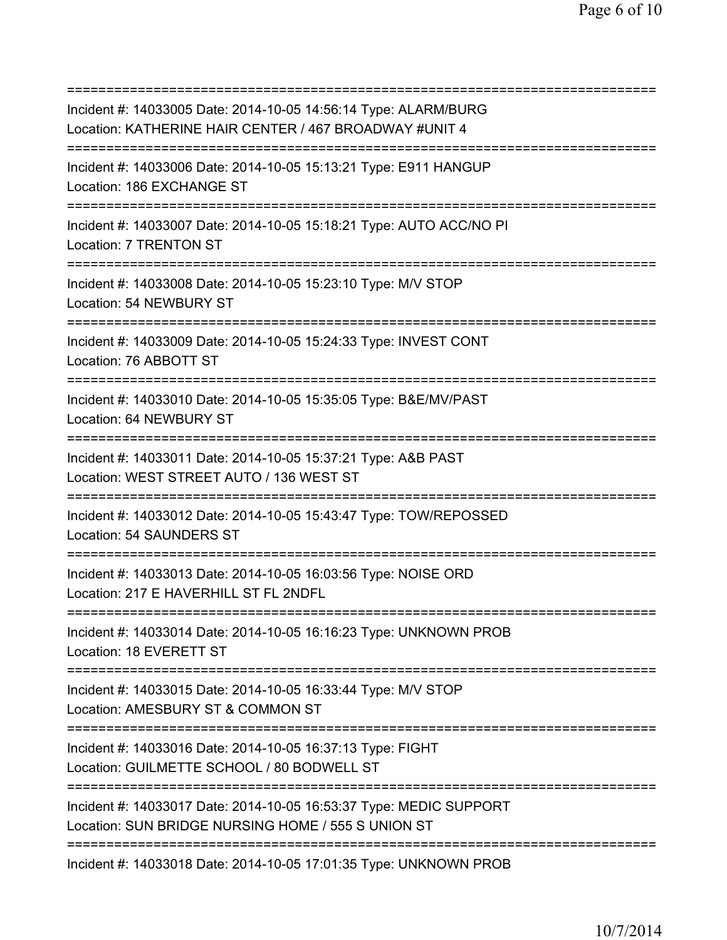| Incident #: 14033005 Date: 2014-10-05 14:56:14 Type: ALARM/BURG<br>Location: KATHERINE HAIR CENTER / 467 BROADWAY #UNIT 4 |
|---------------------------------------------------------------------------------------------------------------------------|
| Incident #: 14033006 Date: 2014-10-05 15:13:21 Type: E911 HANGUP<br>Location: 186 EXCHANGE ST                             |
| Incident #: 14033007 Date: 2014-10-05 15:18:21 Type: AUTO ACC/NO PI<br>Location: 7 TRENTON ST                             |
| Incident #: 14033008 Date: 2014-10-05 15:23:10 Type: M/V STOP<br>Location: 54 NEWBURY ST                                  |
| Incident #: 14033009 Date: 2014-10-05 15:24:33 Type: INVEST CONT<br>Location: 76 ABBOTT ST                                |
| Incident #: 14033010 Date: 2014-10-05 15:35:05 Type: B&E/MV/PAST<br>Location: 64 NEWBURY ST                               |
| Incident #: 14033011 Date: 2014-10-05 15:37:21 Type: A&B PAST<br>Location: WEST STREET AUTO / 136 WEST ST                 |
| Incident #: 14033012 Date: 2014-10-05 15:43:47 Type: TOW/REPOSSED<br>Location: 54 SAUNDERS ST                             |
| Incident #: 14033013 Date: 2014-10-05 16:03:56 Type: NOISE ORD<br>Location: 217 E HAVERHILL ST FL 2NDFL                   |
| Incident #: 14033014 Date: 2014-10-05 16:16:23 Type: UNKNOWN PROB<br>Location: 18 EVERETT ST                              |
| Incident #: 14033015 Date: 2014-10-05 16:33:44 Type: M/V STOP<br>Location: AMESBURY ST & COMMON ST                        |
| Incident #: 14033016 Date: 2014-10-05 16:37:13 Type: FIGHT<br>Location: GUILMETTE SCHOOL / 80 BODWELL ST                  |
| Incident #: 14033017 Date: 2014-10-05 16:53:37 Type: MEDIC SUPPORT<br>Location: SUN BRIDGE NURSING HOME / 555 S UNION ST  |
| =========================<br>Incident #: 14033018 Date: 2014-10-05 17:01:35 Type: UNKNOWN PROB                            |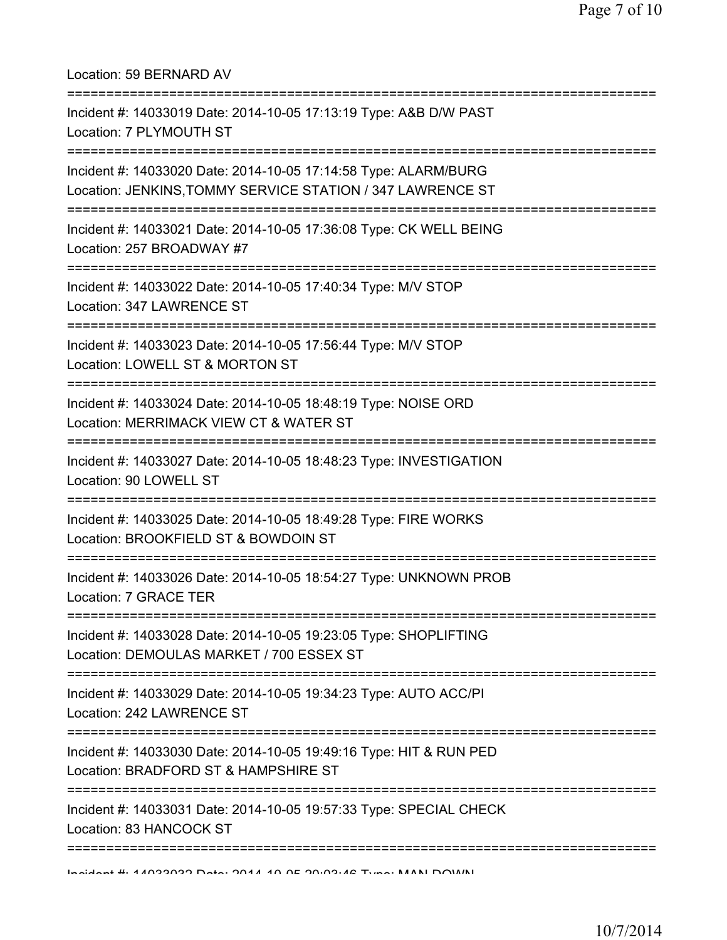| Location: 59 BERNARD AV                                                                                                         |
|---------------------------------------------------------------------------------------------------------------------------------|
| Incident #: 14033019 Date: 2014-10-05 17:13:19 Type: A&B D/W PAST<br>Location: 7 PLYMOUTH ST<br>=============================   |
| Incident #: 14033020 Date: 2014-10-05 17:14:58 Type: ALARM/BURG<br>Location: JENKINS, TOMMY SERVICE STATION / 347 LAWRENCE ST   |
| ============================<br>Incident #: 14033021 Date: 2014-10-05 17:36:08 Type: CK WELL BEING<br>Location: 257 BROADWAY #7 |
| Incident #: 14033022 Date: 2014-10-05 17:40:34 Type: M/V STOP<br>Location: 347 LAWRENCE ST                                      |
| Incident #: 14033023 Date: 2014-10-05 17:56:44 Type: M/V STOP<br>Location: LOWELL ST & MORTON ST                                |
| Incident #: 14033024 Date: 2014-10-05 18:48:19 Type: NOISE ORD<br>Location: MERRIMACK VIEW CT & WATER ST                        |
| Incident #: 14033027 Date: 2014-10-05 18:48:23 Type: INVESTIGATION<br>Location: 90 LOWELL ST                                    |
| Incident #: 14033025 Date: 2014-10-05 18:49:28 Type: FIRE WORKS<br>Location: BROOKFIELD ST & BOWDOIN ST                         |
| Incident #: 14033026 Date: 2014-10-05 18:54:27 Type: UNKNOWN PROB<br>Location: 7 GRACE TER                                      |
| Incident #: 14033028 Date: 2014-10-05 19:23:05 Type: SHOPLIFTING<br>Location: DEMOULAS MARKET / 700 ESSEX ST                    |
| Incident #: 14033029 Date: 2014-10-05 19:34:23 Type: AUTO ACC/PI<br>Location: 242 LAWRENCE ST                                   |
| Incident #: 14033030 Date: 2014-10-05 19:49:16 Type: HIT & RUN PED<br>Location: BRADFORD ST & HAMPSHIRE ST                      |
| Incident #: 14033031 Date: 2014-10-05 19:57:33 Type: SPECIAL CHECK<br>Location: 83 HANCOCK ST                                   |
| Indidn't # 11099099 Data: 2011 10 DE 20.09.12 Tunn: MANI DOMNI                                                                  |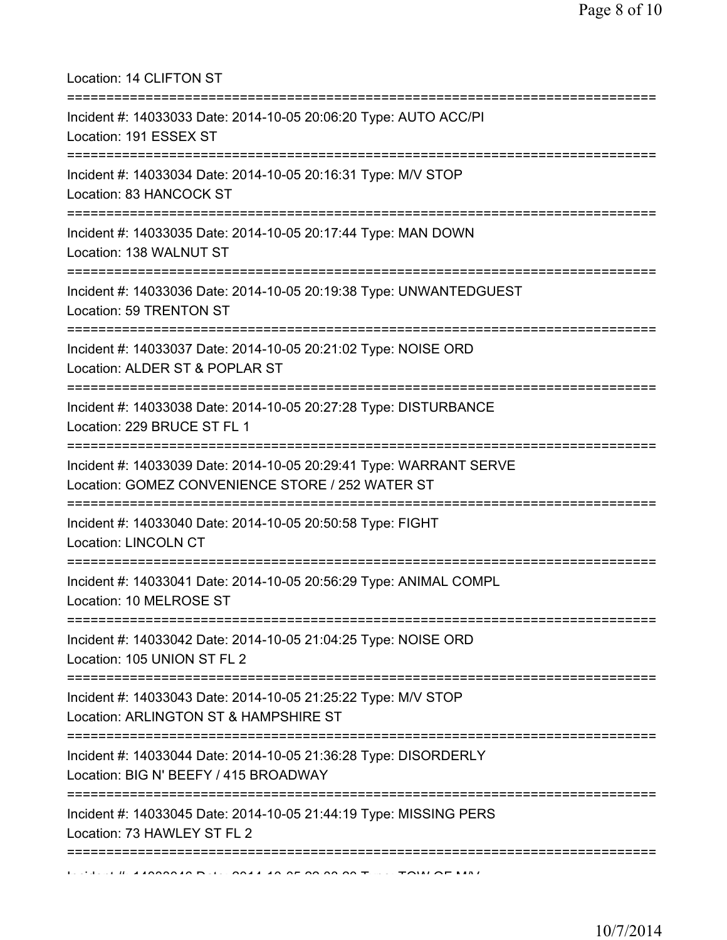Location: 14 CLIFTON ST =========================================================================== Incident #: 14033033 Date: 2014-10-05 20:06:20 Type: AUTO ACC/PI Location: 191 ESSEX ST =========================================================================== Incident #: 14033034 Date: 2014-10-05 20:16:31 Type: M/V STOP Location: 83 HANCOCK ST =========================================================================== Incident #: 14033035 Date: 2014-10-05 20:17:44 Type: MAN DOWN Location: 138 WALNUT ST =========================================================================== Incident #: 14033036 Date: 2014-10-05 20:19:38 Type: UNWANTEDGUEST Location: 59 TRENTON ST =========================================================================== Incident #: 14033037 Date: 2014-10-05 20:21:02 Type: NOISE ORD Location: ALDER ST & POPLAR ST =========================================================================== Incident #: 14033038 Date: 2014-10-05 20:27:28 Type: DISTURBANCE Location: 229 BRUCE ST FL 1 =========================================================================== Incident #: 14033039 Date: 2014-10-05 20:29:41 Type: WARRANT SERVE Location: GOMEZ CONVENIENCE STORE / 252 WATER ST =========================================================================== Incident #: 14033040 Date: 2014-10-05 20:50:58 Type: FIGHT Location: LINCOLN CT =========================================================================== Incident #: 14033041 Date: 2014-10-05 20:56:29 Type: ANIMAL COMPL Location: 10 MELROSE ST =========================================================================== Incident #: 14033042 Date: 2014-10-05 21:04:25 Type: NOISE ORD Location: 105 UNION ST FL 2 =========================================================================== Incident #: 14033043 Date: 2014-10-05 21:25:22 Type: M/V STOP Location: ARLINGTON ST & HAMPSHIRE ST =========================================================================== Incident #: 14033044 Date: 2014-10-05 21:36:28 Type: DISORDERLY Location: BIG N' BEEFY / 415 BROADWAY =========================================================================== Incident #: 14033045 Date: 2014-10-05 21:44:19 Type: MISSING PERS Location: 73 HAWLEY ST FL 2 ===========================================================================  $1$ ,  $\mu$  , 14033046 Dele 2014 10 25 28:09:20 Type: TOW OF MAL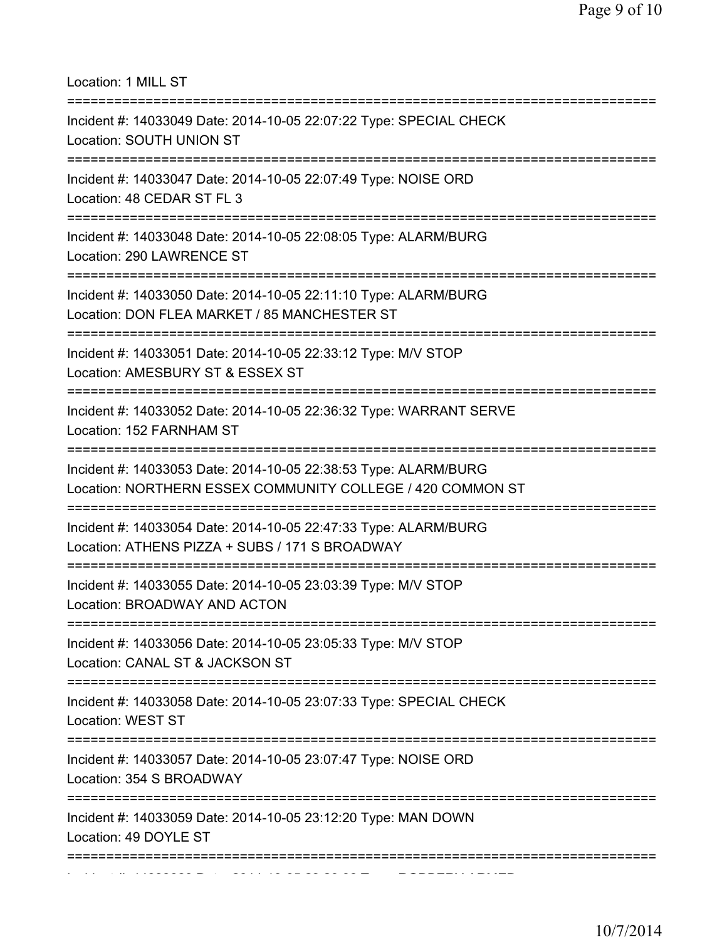Location: 1 MILL ST =========================================================================== Incident #: 14033049 Date: 2014-10-05 22:07:22 Type: SPECIAL CHECK Location: SOUTH UNION ST =========================================================================== Incident #: 14033047 Date: 2014-10-05 22:07:49 Type: NOISE ORD Location: 48 CEDAR ST FL 3 =========================================================================== Incident #: 14033048 Date: 2014-10-05 22:08:05 Type: ALARM/BURG Location: 290 LAWRENCE ST =========================================================================== Incident #: 14033050 Date: 2014-10-05 22:11:10 Type: ALARM/BURG Location: DON FLEA MARKET / 85 MANCHESTER ST =========================================================================== Incident #: 14033051 Date: 2014-10-05 22:33:12 Type: M/V STOP Location: AMESBURY ST & ESSEX ST =========================================================================== Incident #: 14033052 Date: 2014-10-05 22:36:32 Type: WARRANT SERVE Location: 152 FARNHAM ST =========================================================================== Incident #: 14033053 Date: 2014-10-05 22:38:53 Type: ALARM/BURG Location: NORTHERN ESSEX COMMUNITY COLLEGE / 420 COMMON ST =========================================================================== Incident #: 14033054 Date: 2014-10-05 22:47:33 Type: ALARM/BURG Location: ATHENS PIZZA + SUBS / 171 S BROADWAY =========================================================================== Incident #: 14033055 Date: 2014-10-05 23:03:39 Type: M/V STOP Location: BROADWAY AND ACTON =========================================================================== Incident #: 14033056 Date: 2014-10-05 23:05:33 Type: M/V STOP Location: CANAL ST & JACKSON ST =========================================================================== Incident #: 14033058 Date: 2014-10-05 23:07:33 Type: SPECIAL CHECK Location: WEST ST =========================================================================== Incident #: 14033057 Date: 2014-10-05 23:07:47 Type: NOISE ORD Location: 354 S BROADWAY =========================================================================== Incident #: 14033059 Date: 2014-10-05 23:12:20 Type: MAN DOWN Location: 49 DOYLE ST =========================================================================== Incident #: 14033060 Date: 2014 10 05 23:20:06 Type: ROBBERY ARMED